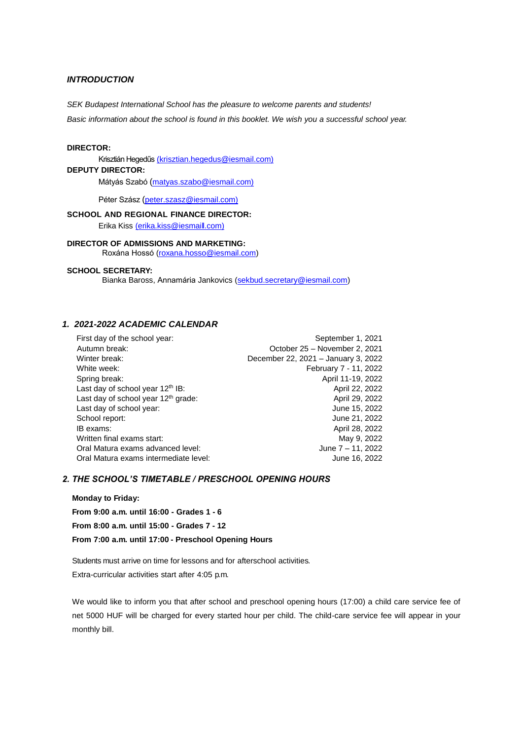# *INTRODUCTION*

*SEK Budapest International School has the pleasure to welcome parents and students!* 

*Basic information about the school is found in this booklet. We wish you a successful school year.*

#### **DIRECTOR:**

Krisztián Hegedűs (krisztian.hegedus@iesmail.com)

# **DEPUTY DIRECTOR:**

Mátyás Szabó (matyas.szabo@iesmail.com)

Péter Szász (peter.szasz@iesmail.com)

### **SCHOOL AND REGIONAL FINANCE DIRECTOR:** Erika Kiss [\(erika.kiss@iesmaill.com\)](mailto:(erika.kiss@iesmaill.com))

**DIRECTOR OF ADMISSIONS AND MARKETING:** Roxána Hossó [\(roxana.hosso@iesmail.com\)](mailto:roxana.hosso@iesmail.com)

#### **SCHOOL SECRETARY:**

Bianka Baross, Annamária Jankovics [\(sekbud.secretary@iesmail.com\)](mailto:sekbud.secretary@iesmail.com)

# *1. 2021-2022 ACADEMIC CALENDAR*

| First day of the school year:                   | September 1, 2021                   |
|-------------------------------------------------|-------------------------------------|
| Autumn break:                                   | October 25 - November 2, 2021       |
| Winter break:                                   | December 22, 2021 - January 3, 2022 |
| White week:                                     | February 7 - 11, 2022               |
| Spring break:                                   | April 11-19, 2022                   |
| Last day of school year 12 <sup>th</sup> IB:    | April 22, 2022                      |
| Last day of school year 12 <sup>th</sup> grade: | April 29, 2022                      |
| Last day of school year:                        | June 15, 2022                       |
| School report:                                  | June 21, 2022                       |
| IB exams:                                       | April 28, 2022                      |
| Written final exams start:                      | May 9, 2022                         |
| Oral Matura exams advanced level:               | June 7 - 11, 2022                   |
| Oral Matura exams intermediate level:           | June 16, 2022                       |
|                                                 |                                     |

# *2. THE SCHOOL'S TIMETABLE / PRESCHOOL OPENING HOURS*

### **Monday to Friday:**

**From 9:00 a.m. until 16:00 - Grades 1 - 6 From 8:00 a.m. until 15:00 - Grades 7 - 12 From 7:00 a.m. until 17:00 - Preschool Opening Hours**

Students must arrive on time for lessons and for afterschool activities. Extra-curricular activities start after 4:05 p.m.

We would like to inform you that after school and preschool opening hours (17:00) a child care service fee of net 5000 HUF will be charged for every started hour per child. The child-care service fee will appear in your monthly bill.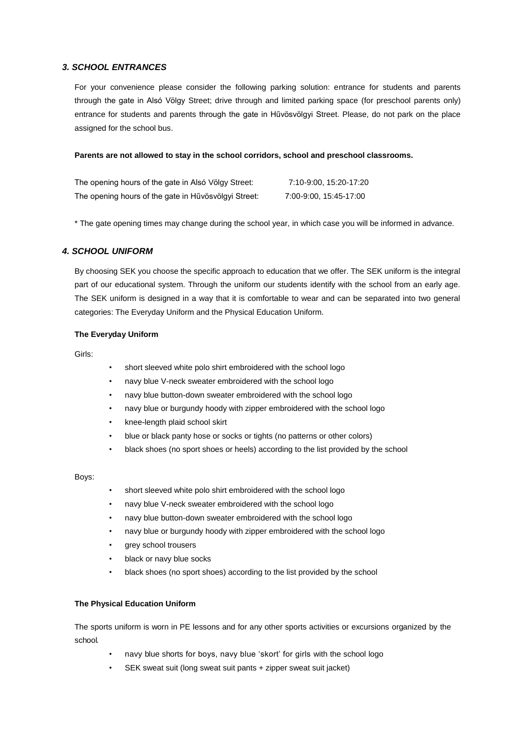# *3. SCHOOL ENTRANCES*

For your convenience please consider the following parking solution: entrance for students and parents through the gate in Alsó Völgy Street; drive through and limited parking space (for preschool parents only) entrance for students and parents through the gate in Hűvösvölgyi Street. Please, do not park on the place assigned for the school bus.

### **Parents are not allowed to stay in the school corridors, school and preschool classrooms.**

| The opening hours of the gate in Alsó Völgy Street:  | 7:10-9:00, 15:20-17:20 |
|------------------------------------------------------|------------------------|
| The opening hours of the gate in Hűvösvölgyi Street: | 7:00-9:00, 15:45-17:00 |

\* The gate opening times may change during the school year, in which case you will be informed in advance.

# *4. SCHOOL UNIFORM*

By choosing SEK you choose the specific approach to education that we offer. The SEK uniform is the integral part of our educational system. Through the uniform our students identify with the school from an early age. The SEK uniform is designed in a way that it is comfortable to wear and can be separated into two general categories: The Everyday Uniform and the Physical Education Uniform.

### **The Everyday Uniform**

Girls:

- short sleeved white polo shirt embroidered with the school logo
- navy blue V-neck sweater embroidered with the school logo
- navy blue button-down sweater embroidered with the school logo
- navy blue or burgundy hoody with zipper embroidered with the school logo
- knee-length plaid school skirt
- blue or black panty hose or socks or tights (no patterns or other colors)
- black shoes (no sport shoes or heels) according to the list provided by the school

#### Boys:

- short sleeved white polo shirt embroidered with the school logo
- navy blue V-neck sweater embroidered with the school logo
- navy blue button-down sweater embroidered with the school logo
- navy blue or burgundy hoody with zipper embroidered with the school logo
- grey school trousers
- black or navy blue socks
- black shoes (no sport shoes) according to the list provided by the school

### **The Physical Education Uniform**

The sports uniform is worn in PE lessons and for any other sports activities or excursions organized by the school.

- navy blue shorts for boys, navy blue 'skort' for girls with the school logo
- SEK sweat suit (long sweat suit pants + zipper sweat suit jacket)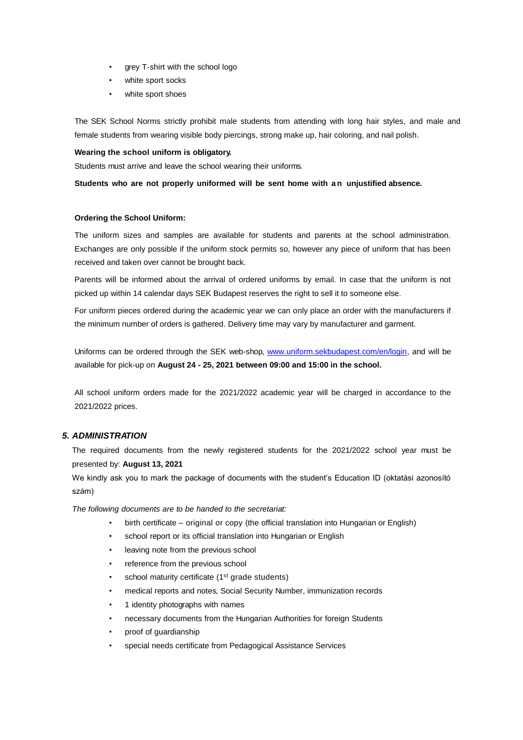- grey T-shirt with the school logo
- white sport socks
- white sport shoes

The SEK School Norms strictly prohibit male students from attending with long hair styles, and male and female students from wearing visible body piercings, strong make up, hair coloring, and nail polish.

#### **Wearing the school uniform is obligatory.**

Students must arrive and leave the school wearing their uniforms.

**Students who are not properly uniformed will be sent home with a n unjustified absence.**

### **Ordering the School Uniform:**

The uniform sizes and samples are available for students and parents at the school administration. Exchanges are only possible if the uniform stock permits so, however any piece of uniform that has been received and taken over cannot be brought back.

Parents will be informed about the arrival of ordered uniforms by email. In case that the uniform is not picked up within 14 calendar days SEK Budapest reserves the right to sell it to someone else.

For uniform pieces ordered during the academic year we can only place an order with the manufacturers if the minimum number of orders is gathered. Delivery time may vary by manufacturer and garment.

Uniforms can be ordered through the SEK web-shop, [www.uniform.sekbudapest.com/en/login,](http://www.uniform.sekbudapest.com/en/login) and will be available for pick-up on **August 24 - 25, 2021 between 09:00 and 15:00 in the school.**

All school uniform orders made for the 2021/2022 academic year will be charged in accordance to the 2021/2022 prices.

### *5. ADMINISTRATION*

The required documents from the newly registered students for the 2021/2022 school year must be presented by: **August 13, 2021**

We kindly ask you to mark the package of documents with the student's Education ID (oktatási azonosító szám)

*The following documents are to be handed to the secretariat:*

- birth certificate original or copy (the official translation into Hungarian or English)
- school report or its official translation into Hungarian or English
- leaving note from the previous school
- reference from the previous school
- school maturity certificate (1<sup>st</sup> grade students)
- medical reports and notes, Social Security Number, immunization records
- 1 identity photographs with names
- necessary documents from the Hungarian Authorities for foreign Students
- proof of guardianship
- special needs certificate from Pedagogical Assistance Services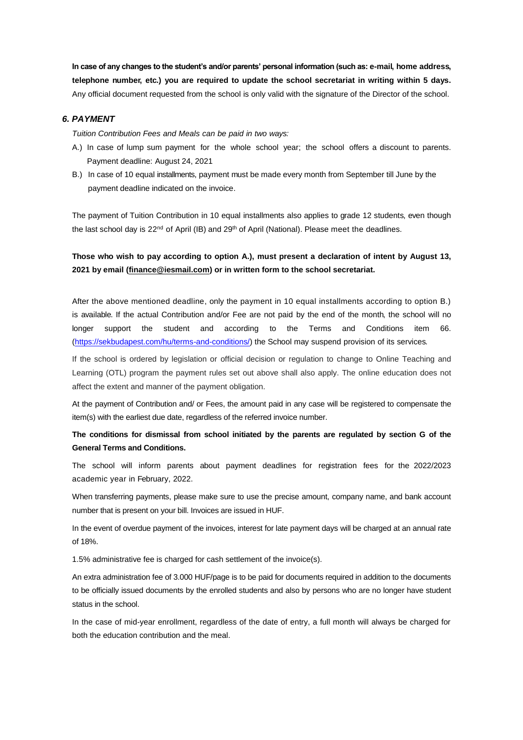**In case of any changes to the student's and/or parents' personal information (such as: e-mail, home address, telephone number, etc.) you are required to update the school secretariat in writing within 5 days.** Any official document requested from the school is only valid with the signature of the Director of the school.

### *6. PAYMENT*

*Tuition Contribution Fees and Meals can be paid in two ways:*

- A.) In case of lump sum payment for the whole school year; the school offers a discount to parents. Payment deadline: August 24, 2021
- B.) In case of 10 equal installments, payment must be made every month from September till June by the payment deadline indicated on the invoice.

The payment of Tuition Contribution in 10 equal installments also applies to grade 12 students, even though the last school day is 22<sup>nd</sup> of April (IB) and 29<sup>th</sup> of April (National). Please meet the deadlines.

# **Those who wish to pay according to option A.), must present a declaration of intent by August 13, 2021 by email [\(finance@iesmail.com\)](mailto:finance@iesmail.com) or in written form to the school secretariat.**

After the above mentioned deadline, only the payment in 10 equal installments according to option B.) is available. If the actual Contribution and/or Fee are not paid by the end of the month, the school will no longer support the student and according to the Terms and Conditions item 66. [\(https://sekbudapest.com/hu/terms-and-conditions/\)](https://sekbudapest.com/hu/terms-and-conditions/) the School may suspend provision of its services.

If the school is ordered by legislation or official decision or regulation to change to Online Teaching and Learning (OTL) program the payment rules set out above shall also apply. The online education does not affect the extent and manner of the payment obligation.

At the payment of Contribution and/ or Fees, the amount paid in any case will be registered to compensate the item(s) with the earliest due date, regardless of the referred invoice number.

# **The conditions for dismissal from school initiated by the parents are regulated by section G of the General Terms and Conditions.**

The school will inform parents about payment deadlines for registration fees for the 2022/2023 academic year in February, 2022.

When transferring payments, please make sure to use the precise amount, company name, and bank account number that is present on your bill. Invoices are issued in HUF.

In the event of overdue payment of the invoices, interest for late payment days will be charged at an annual rate of 18%.

1.5% administrative fee is charged for cash settlement of the invoice(s).

An extra administration fee of 3.000 HUF/page is to be paid for documents required in addition to the documents to be officially issued documents by the enrolled students and also by persons who are no longer have student status in the school.

In the case of mid-year enrollment, regardless of the date of entry, a full month will always be charged for both the education contribution and the meal.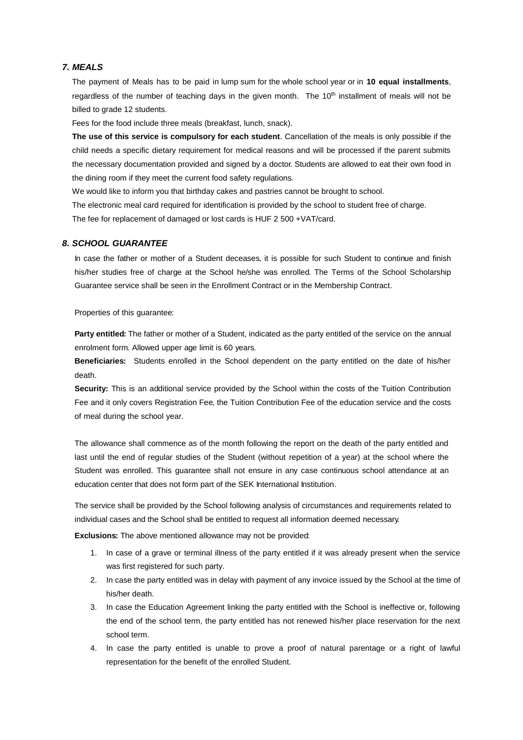### *7. MEALS*

The payment of Meals has to be paid in lump sum for the whole school year or in **10 equal installments**, regardless of the number of teaching days in the given month. The 10<sup>th</sup> installment of meals will not be billed to grade 12 students.

Fees for the food include three meals (breakfast, lunch, snack).

**The use of this service is compulsory for each student**. Cancellation of the meals is only possible if the child needs a specific dietary requirement for medical reasons and will be processed if the parent submits the necessary documentation provided and signed by a doctor. Students are allowed to eat their own food in the dining room if they meet the current food safety regulations.

We would like to inform you that birthday cakes and pastries cannot be brought to school.

The electronic meal card required for identification is provided by the school to student free of charge. The fee for replacement of damaged or lost cards is HUF 2 500 +VAT/card.

#### *8. SCHOOL GUARANTEE*

In case the father or mother of a Student deceases, it is possible for such Student to continue and finish his/her studies free of charge at the School he/she was enrolled. The Terms of the School Scholarship Guarantee service shall be seen in the Enrollment Contract or in the Membership Contract.

Properties of this guarantee:

**Party entitled:** The father or mother of a Student, indicated as the party entitled of the service on the annual enrolment form. Allowed upper age limit is 60 years.

**Beneficiaries:** Students enrolled in the School dependent on the party entitled on the date of his/her death.

**Security:** This is an additional service provided by the School within the costs of the Tuition Contribution Fee and it only covers Registration Fee, the Tuition Contribution Fee of the education service and the costs of meal during the school year.

The allowance shall commence as of the month following the report on the death of the party entitled and last until the end of regular studies of the Student (without repetition of a year) at the school where the Student was enrolled. This guarantee shall not ensure in any case continuous school attendance at an education center that does not form part of the SEK International Institution.

The service shall be provided by the School following analysis of circumstances and requirements related to individual cases and the School shall be entitled to request all information deemed necessary.

**Exclusions:** The above mentioned allowance may not be provided:

- 1. In case of a grave or terminal illness of the party entitled if it was already present when the service was first registered for such party.
- 2. In case the party entitled was in delay with payment of any invoice issued by the School at the time of his/her death.
- 3. In case the Education Agreement linking the party entitled with the School is ineffective or, following the end of the school term, the party entitled has not renewed his/her place reservation for the next school term.
- 4. In case the party entitled is unable to prove a proof of natural parentage or a right of lawful representation for the benefit of the enrolled Student.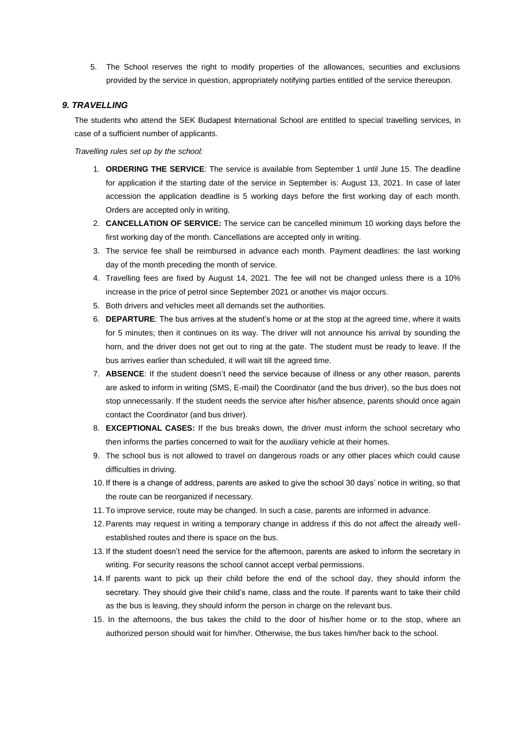5. The School reserves the right to modify properties of the allowances, securities and exclusions provided by the service in question, appropriately notifying parties entitled of the service thereupon.

### *9. TRAVELLING*

The students who attend the SEK Budapest International School are entitled to special travelling services, in case of a sufficient number of applicants.

*Travelling rules set up by the school:*

- 1. **ORDERING THE SERVICE**: The service is available from September 1 until June 15. The deadline for application if the starting date of the service in September is: August 13, 2021. In case of later accession the application deadline is 5 working days before the first working day of each month. Orders are accepted only in writing.
- 2. **CANCELLATION OF SERVICE:** The service can be cancelled minimum 10 working days before the first working day of the month. Cancellations are accepted only in writing.
- 3. The service fee shall be reimbursed in advance each month. Payment deadlines: the last working day of the month preceding the month of service.
- 4. Travelling fees are fixed by August 14, 2021. The fee will not be changed unless there is a 10% increase in the price of petrol since September 2021 or another vis major occurs.
- 5. Both drivers and vehicles meet all demands set the authorities.
- 6. **DEPARTURE**: The bus arrives at the student's home or at the stop at the agreed time, where it waits for 5 minutes; then it continues on its way. The driver will not announce his arrival by sounding the horn, and the driver does not get out to ring at the gate. The student must be ready to leave. If the bus arrives earlier than scheduled, it will wait till the agreed time.
- 7. **ABSENCE**: If the student doesn't need the service because of illness or any other reason, parents are asked to inform in writing (SMS, E-mail) the Coordinator (and the bus driver), so the bus does not stop unnecessarily. If the student needs the service after his/her absence, parents should once again contact the Coordinator (and bus driver).
- 8. **EXCEPTIONAL CASES:** If the bus breaks down, the driver must inform the school secretary who then informs the parties concerned to wait for the auxiliary vehicle at their homes.
- 9. The school bus is not allowed to travel on dangerous roads or any other places which could cause difficulties in driving.
- 10. If there is a change of address, parents are asked to give the school 30 days' notice in writing, so that the route can be reorganized if necessary.
- 11. To improve service, route may be changed. In such a case, parents are informed in advance.
- 12. Parents may request in writing a temporary change in address if this do not affect the already wellestablished routes and there is space on the bus.
- 13. If the student doesn't need the service for the afternoon, parents are asked to inform the secretary in writing. For security reasons the school cannot accept verbal permissions.
- 14. If parents want to pick up their child before the end of the school day, they should inform the secretary. They should give their child's name, class and the route. If parents want to take their child as the bus is leaving, they should inform the person in charge on the relevant bus.
- 15. In the afternoons, the bus takes the child to the door of his/her home or to the stop, where an authorized person should wait for him/her. Otherwise, the bus takes him/her back to the school.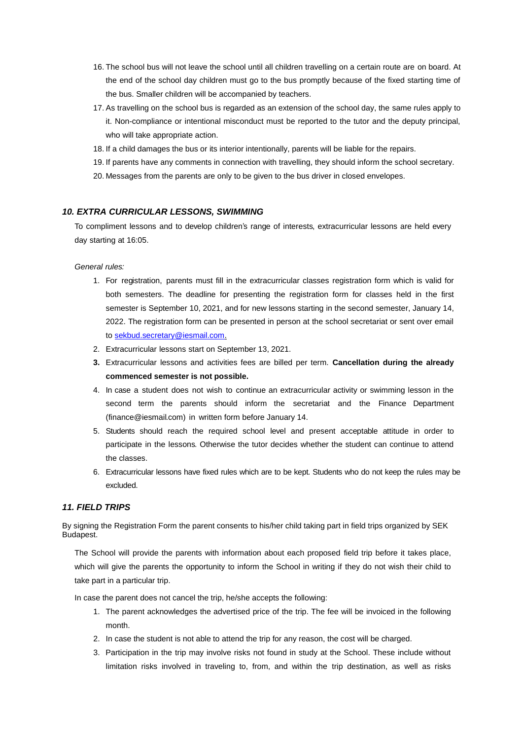- 16. The school bus will not leave the school until all children travelling on a certain route are on board. At the end of the school day children must go to the bus promptly because of the fixed starting time of the bus. Smaller children will be accompanied by teachers.
- 17. As travelling on the school bus is regarded as an extension of the school day, the same rules apply to it. Non-compliance or intentional misconduct must be reported to the tutor and the deputy principal, who will take appropriate action.
- 18. If a child damages the bus or its interior intentionally, parents will be liable for the repairs.
- 19. If parents have any comments in connection with travelling, they should inform the school secretary.
- 20. Messages from the parents are only to be given to the bus driver in closed envelopes.

### *10. EXTRA CURRICULAR LESSONS, SWIMMING*

To compliment lessons and to develop children's range of interests, extracurricular lessons are held every day starting at 16:05.

### *General rules:*

- 1. For registration, parents must fill in the extracurricular classes registration form which is valid for both semesters. The deadline for presenting the registration form for classes held in the first semester is September 10, 2021, and for new lessons starting in the second semester, January 14, 2022. The registration form can be presented in person at the school secretariat or sent over email t[o sekbud.secretary@iesmail.com.](mailto:sekbud.secretary@iesmail.com)
- 2. Extracurricular lessons start on September 13, 2021.
- **3.** Extracurricular lessons and activities fees are billed per term. **Cancellation during the already commenced semester is not possible.**
- 4. In case a student does not wish to continue an extracurricular activity or swimming lesson in the second term the parents should inform the secretariat and the Finance Department [\(finance@iesmail.com\)](mailto:finance@iesmail.com) in written form before January 14.
- 5. Students should reach the required school level and present acceptable attitude in order to participate in the lessons. Otherwise the tutor decides whether the student can continue to attend the classes.
- 6. Extracurricular lessons have fixed rules which are to be kept. Students who do not keep the rules may be excluded.

# *11. FIELD TRIPS*

By signing the Registration Form the parent consents to his/her child taking part in field trips organized by SEK Budapest.

The School will provide the parents with information about each proposed field trip before it takes place, which will give the parents the opportunity to inform the School in writing if they do not wish their child to take part in a particular trip.

In case the parent does not cancel the trip, he/she accepts the following:

- 1. The parent acknowledges the advertised price of the trip. The fee will be invoiced in the following month.
- 2. In case the student is not able to attend the trip for any reason, the cost will be charged.
- 3. Participation in the trip may involve risks not found in study at the School. These include without limitation risks involved in traveling to, from, and within the trip destination, as well as risks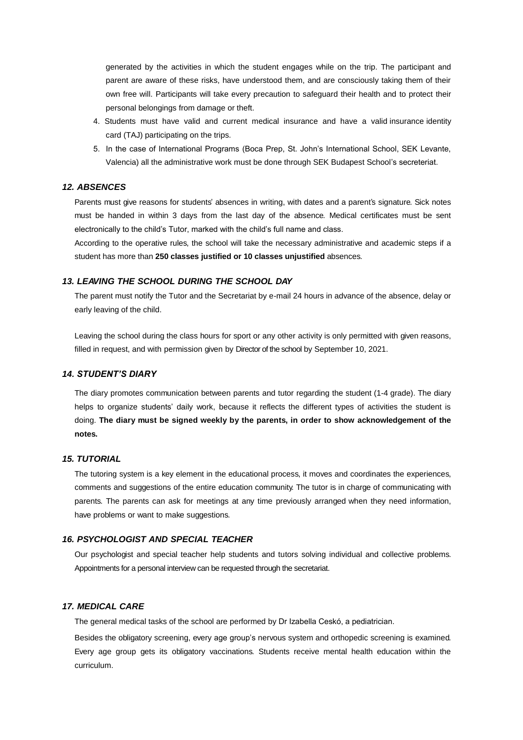generated by the activities in which the student engages while on the trip. The participant and parent are aware of these risks, have understood them, and are consciously taking them of their own free will. Participants will take every precaution to safeguard their health and to protect their personal belongings from damage or theft.

- 4. Students must have valid and current medical insurance and have a valid insurance identity card (TAJ) participating on the trips.
- 5. In the case of International Programs (Boca Prep, St. John's International School, SEK Levante, Valencia) all the administrative work must be done through SEK Budapest School's secreteriat.

# *12. ABSENCES*

Parents must give reasons for students' absences in writing, with dates and a parent's signature. Sick notes must be handed in within 3 days from the last day of the absence. Medical certificates must be sent electronically to the child's Tutor, marked with the child's full name and class.

According to the operative rules, the school will take the necessary administrative and academic steps if a student has more than **250 classes justified or 10 classes unjustified** absences.

### *13. LEAVING THE SCHOOL DURING THE SCHOOL DAY*

The parent must notify the Tutor and the Secretariat by e-mail 24 hours in advance of the absence, delay or early leaving of the child.

Leaving the school during the class hours for sport or any other activity is only permitted with given reasons, filled in request, and with permission given by Director of the school by September 10, 2021.

# *14. STUDENT'S DIARY*

The diary promotes communication between parents and tutor regarding the student (1-4 grade). The diary helps to organize students' daily work, because it reflects the different types of activities the student is doing. **The diary must be signed weekly by the parents, in order to show acknowledgement of the notes.**

#### *15. TUTORIAL*

The tutoring system is a key element in the educational process, it moves and coordinates the experiences, comments and suggestions of the entire education community. The tutor is in charge of communicating with parents. The parents can ask for meetings at any time previously arranged when they need information, have problems or want to make suggestions.

# *16. PSYCHOLOGIST AND SPECIAL TEACHER*

Our psychologist and special teacher help students and tutors solving individual and collective problems. Appointments for a personal interview can be requested through the secretariat.

#### *17. MEDICAL CARE*

The general medical tasks of the school are performed by Dr Izabella Ceskó, a pediatrician.

Besides the obligatory screening, every age group's nervous system and orthopedic screening is examined. Every age group gets its obligatory vaccinations. Students receive mental health education within the curriculum.